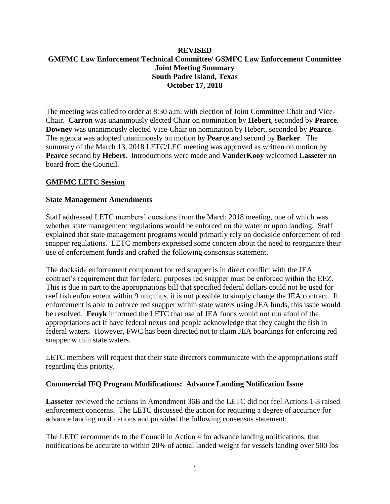# **REVISED GMFMC Law Enforcement Technical Committee/ GSMFC Law Enforcement Committee Joint Meeting Summary South Padre Island, Texas October 17, 2018**

The meeting was called to order at 8:30 a.m. with election of Joint Committee Chair and Vice-Chair. **Carron** was unanimously elected Chair on nomination by **Hebert**, seconded by **Pearce**. **Downey** was unanimously elected Vice-Chair on nomination by Hebert, seconded by **Pearce**. The agenda was adopted unanimously on motion by **Pearce** and second by **Barker**. The summary of the March 13, 2018 LETC/LEC meeting was approved as written on motion by **Pearce** second by **Hebert**. Introductions were made and **VanderKooy** welcomed **Lasseter** on board from the Council.

# **GMFMC LETC Session**

## **State Management Amendments**

Staff addressed LETC members' questions from the March 2018 meeting, one of which was whether state management regulations would be enforced on the water or upon landing. Staff explained that state management programs would primarily rely on dockside enforcement of red snapper regulations. LETC members expressed some concern about the need to reorganize their use of enforcement funds and crafted the following consensus statement.

The dockside enforcement component for red snapper is in direct conflict with the JEA contract's requirement that for federal purposes red snapper must be enforced within the EEZ. This is due in part to the appropriations bill that specified federal dollars could not be used for reef fish enforcement within 9 nm; thus, it is not possible to simply change the JEA contract. If enforcement is able to enforce red snapper within state waters using JEA funds, this issue would be resolved. **Fenyk** informed the LETC that use of JEA funds would not run afoul of the appropriations act if have federal nexus and people acknowledge that they caught the fish in federal waters. However, FWC has been directed not to claim JEA boardings for enforcing red snapper within state waters.

LETC members will request that their state directors communicate with the appropriations staff regarding this priority.

## **Commercial IFQ Program Modifications: Advance Landing Notification Issue**

**Lasseter** reviewed the actions in Amendment 36B and the LETC did not feel Actions 1-3 raised enforcement concerns. The LETC discussed the action for requiring a degree of accuracy for advance landing notifications and provided the following consensus statement:

The LETC recommends to the Council in Action 4 for advance landing notifications, that notifications be accurate to within 20% of actual landed weight for vessels landing over 500 lbs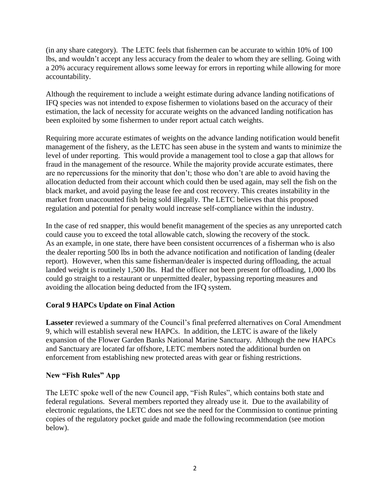(in any share category). The LETC feels that fishermen can be accurate to within 10% of 100 lbs, and wouldn't accept any less accuracy from the dealer to whom they are selling. Going with a 20% accuracy requirement allows some leeway for errors in reporting while allowing for more accountability.

Although the requirement to include a weight estimate during advance landing notifications of IFQ species was not intended to expose fishermen to violations based on the accuracy of their estimation, the lack of necessity for accurate weights on the advanced landing notification has been exploited by some fishermen to under report actual catch weights.

Requiring more accurate estimates of weights on the advance landing notification would benefit management of the fishery, as the LETC has seen abuse in the system and wants to minimize the level of under reporting. This would provide a management tool to close a gap that allows for fraud in the management of the resource. While the majority provide accurate estimates, there are no repercussions for the minority that don't; those who don't are able to avoid having the allocation deducted from their account which could then be used again, may sell the fish on the black market, and avoid paying the lease fee and cost recovery. This creates instability in the market from unaccounted fish being sold illegally. The LETC believes that this proposed regulation and potential for penalty would increase self-compliance within the industry.

In the case of red snapper, this would benefit management of the species as any unreported catch could cause you to exceed the total allowable catch, slowing the recovery of the stock. As an example, in one state, there have been consistent occurrences of a fisherman who is also the dealer reporting 500 lbs in both the advance notification and notification of landing (dealer report). However, when this same fisherman/dealer is inspected during offloading, the actual landed weight is routinely 1,500 lbs. Had the officer not been present for offloading, 1,000 lbs could go straight to a restaurant or unpermitted dealer, bypassing reporting measures and avoiding the allocation being deducted from the IFQ system.

# **Coral 9 HAPCs Update on Final Action**

**Lasseter** reviewed a summary of the Council's final preferred alternatives on Coral Amendment 9, which will establish several new HAPCs. In addition, the LETC is aware of the likely expansion of the Flower Garden Banks National Marine Sanctuary. Although the new HAPCs and Sanctuary are located far offshore, LETC members noted the additional burden on enforcement from establishing new protected areas with gear or fishing restrictions.

# **New "Fish Rules" App**

The LETC spoke well of the new Council app, "Fish Rules", which contains both state and federal regulations. Several members reported they already use it. Due to the availability of electronic regulations, the LETC does not see the need for the Commission to continue printing copies of the regulatory pocket guide and made the following recommendation (see motion below).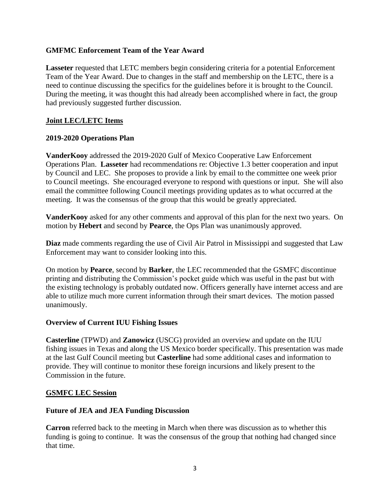# **GMFMC Enforcement Team of the Year Award**

**Lasseter** requested that LETC members begin considering criteria for a potential Enforcement Team of the Year Award. Due to changes in the staff and membership on the LETC, there is a need to continue discussing the specifics for the guidelines before it is brought to the Council. During the meeting, it was thought this had already been accomplished where in fact, the group had previously suggested further discussion.

# **Joint LEC/LETC Items**

# **2019-2020 Operations Plan**

**VanderKooy** addressed the 2019-2020 Gulf of Mexico Cooperative Law Enforcement Operations Plan. **Lasseter** had recommendations re: Objective 1.3 better cooperation and input by Council and LEC. She proposes to provide a link by email to the committee one week prior to Council meetings. She encouraged everyone to respond with questions or input. She will also email the committee following Council meetings providing updates as to what occurred at the meeting. It was the consensus of the group that this would be greatly appreciated.

**VanderKooy** asked for any other comments and approval of this plan for the next two years. On motion by **Hebert** and second by **Pearce**, the Ops Plan was unanimously approved.

**Diaz** made comments regarding the use of Civil Air Patrol in Mississippi and suggested that Law Enforcement may want to consider looking into this.

On motion by **Pearce**, second by **Barker**, the LEC recommended that the GSMFC discontinue printing and distributing the Commission's pocket guide which was useful in the past but with the existing technology is probably outdated now. Officers generally have internet access and are able to utilize much more current information through their smart devices. The motion passed unanimously.

## **Overview of Current IUU Fishing Issues**

**Casterline** (TPWD) and **Zanowicz** (USCG) provided an overview and update on the IUU fishing issues in Texas and along the US Mexico border specifically. This presentation was made at the last Gulf Council meeting but **Casterline** had some additional cases and information to provide. They will continue to monitor these foreign incursions and likely present to the Commission in the future.

## **GSMFC LEC Session**

## **Future of JEA and JEA Funding Discussion**

**Carron** referred back to the meeting in March when there was discussion as to whether this funding is going to continue. It was the consensus of the group that nothing had changed since that time.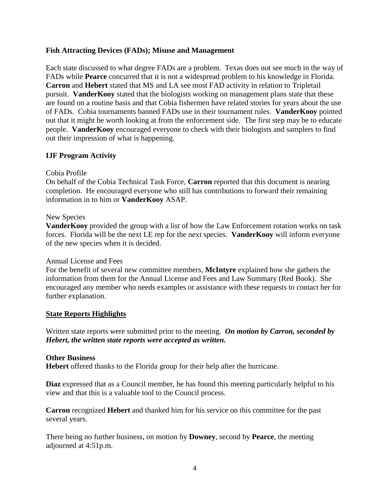# **Fish Attracting Devices (FADs); Misuse and Management**

Each state discussed to what degree FADs are a problem. Texas does not see much in the way of FADs while **Pearce** concurred that it is not a widespread problem to his knowledge in Florida. **Carron** and **Hebert** stated that MS and LA see most FAD activity in relation to Tripletail pursuit. **VanderKooy** stated that the biologists working on management plans state that these are found on a routine basis and that Cobia fishermen have related stories for years about the use of FADs. Cobia tournaments banned FADs use in their tournament rules. **VanderKooy** pointed out that it might be worth looking at from the enforcement side. The first step may be to educate people. **VanderKooy** encouraged everyone to check with their biologists and samplers to find out their impression of what is happening.

# **IJF Program Activity**

## Cobia Profile

On behalf of the Cobia Technical Task Force, **Carron** reported that this document is nearing completion. He encouraged everyone who still has contributions to forward their remaining information in to him or **VanderKooy** ASAP.

## New Species

**VanderKooy** provided the group with a list of how the Law Enforcement rotation works on task forces. Florida will be the next LE rep for the next species. **VanderKooy** will inform everyone of the new species when it is decided.

## Annual License and Fees

For the benefit of several new committee members, **McIntyre** explained how she gathers the information from them for the Annual License and Fees and Law Summary (Red Book). She encouraged any member who needs examples or assistance with these requests to contact her for further explanation.

## **State Reports Highlights**

Written state reports were submitted prior to the meeting. *On motion by Carron, seconded by Hebert, the written state reports were accepted as written.*

## **Other Business**

**Hebert** offered thanks to the Florida group for their help after the hurricane.

**Diaz** expressed that as a Council member, he has found this meeting particularly helpful to his view and that this is a valuable tool to the Council process.

**Carron** recognized **Hebert** and thanked him for his service on this committee for the past several years.

There being no further business, on motion by **Downey**, second by **Pearce**, the meeting adjourned at 4:51p.m.